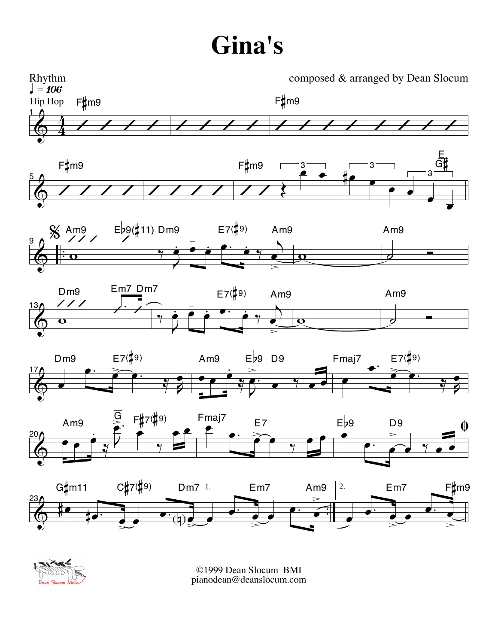## **Gina's**





©1999 Dean Slocum BMI pianodean@deanslocum.com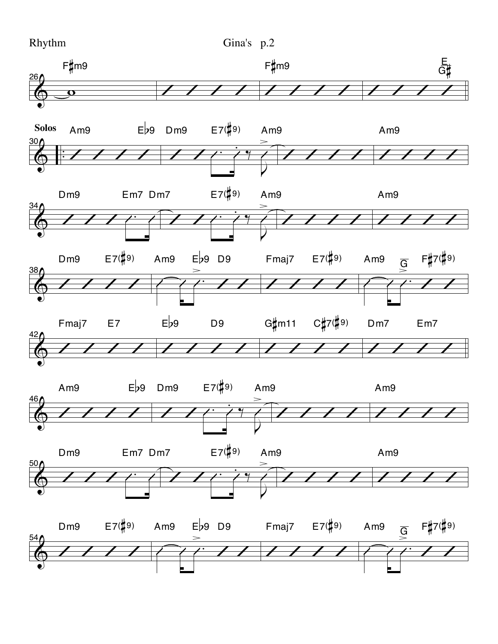